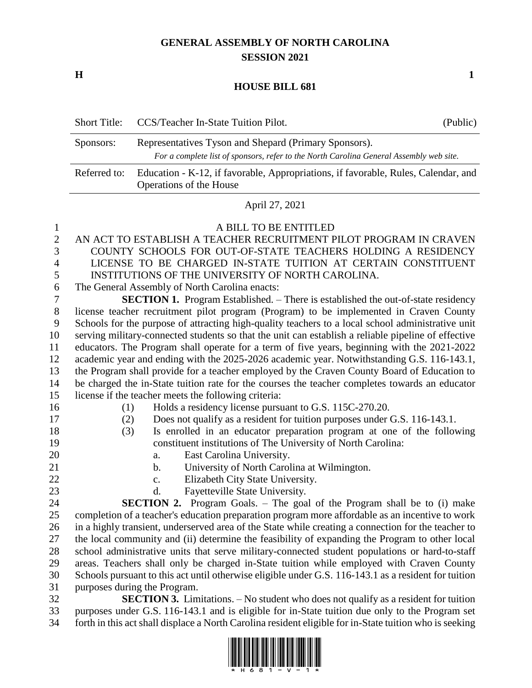## **GENERAL ASSEMBLY OF NORTH CAROLINA SESSION 2021**

**H 1**

## **HOUSE BILL 681**

|              | Short Title: CCS/Teacher In-State Tuition Pilot.                                                                                                 | (Public) |  |
|--------------|--------------------------------------------------------------------------------------------------------------------------------------------------|----------|--|
| Sponsors:    | Representatives Tyson and Shepard (Primary Sponsors).<br>For a complete list of sponsors, refer to the North Carolina General Assembly web site. |          |  |
| Referred to: | Education - K-12, if favorable, Appropriations, if favorable, Rules, Calendar, and<br>Operations of the House                                    |          |  |

## April 27, 2021

| 1                | A BILL TO BE ENTITLED                                                                                |
|------------------|------------------------------------------------------------------------------------------------------|
| $\overline{2}$   | AN ACT TO ESTABLISH A TEACHER RECRUITMENT PILOT PROGRAM IN CRAVEN                                    |
| 3                | COUNTY SCHOOLS FOR OUT-OF-STATE TEACHERS HOLDING A RESIDENCY                                         |
| $\overline{4}$   | LICENSE TO BE CHARGED IN-STATE TUITION AT CERTAIN CONSTITUENT                                        |
| 5                | INSTITUTIONS OF THE UNIVERSITY OF NORTH CAROLINA.                                                    |
| $\boldsymbol{6}$ | The General Assembly of North Carolina enacts:                                                       |
| $\tau$           | <b>SECTION 1.</b> Program Established. – There is established the out-of-state residency             |
| 8                | license teacher recruitment pilot program (Program) to be implemented in Craven County               |
| 9                | Schools for the purpose of attracting high-quality teachers to a local school administrative unit    |
| 10               | serving military-connected students so that the unit can establish a reliable pipeline of effective  |
| 11               | educators. The Program shall operate for a term of five years, beginning with the 2021-2022          |
| 12               | academic year and ending with the 2025-2026 academic year. Notwithstanding G.S. 116-143.1,           |
| 13               | the Program shall provide for a teacher employed by the Craven County Board of Education to          |
| 14               | be charged the in-State tuition rate for the courses the teacher completes towards an educator       |
| 15               | license if the teacher meets the following criteria:                                                 |
| 16               | Holds a residency license pursuant to G.S. 115C-270.20.<br>(1)                                       |
| 17               | Does not qualify as a resident for tuition purposes under G.S. 116-143.1.<br>(2)                     |
| 18               | Is enrolled in an educator preparation program at one of the following<br>(3)                        |
| 19               | constituent institutions of The University of North Carolina:                                        |
| 20               | East Carolina University.<br>a.                                                                      |
| 21               | University of North Carolina at Wilmington.<br>$\mathbf{b}$ .                                        |
| 22               | Elizabeth City State University.<br>c.                                                               |
| 23               | Fayetteville State University.<br>d.                                                                 |
| 24               | <b>SECTION 2.</b> Program Goals. - The goal of the Program shall be to (i) make                      |
| 25               | completion of a teacher's education preparation program more affordable as an incentive to work      |
| 26               | in a highly transient, underserved area of the State while creating a connection for the teacher to  |
| 27               | the local community and (ii) determine the feasibility of expanding the Program to other local       |
| 28               | school administrative units that serve military-connected student populations or hard-to-staff       |
| 29               | areas. Teachers shall only be charged in-State tuition while employed with Craven County             |
| 30               | Schools pursuant to this act until otherwise eligible under G.S. 116-143.1 as a resident for tuition |

purposes during the Program.

**SECTION 3.** Limitations. – No student who does not qualify as a resident for tuition purposes under G.S. 116-143.1 and is eligible for in-State tuition due only to the Program set forth in this act shall displace a North Carolina resident eligible for in-State tuition who is seeking